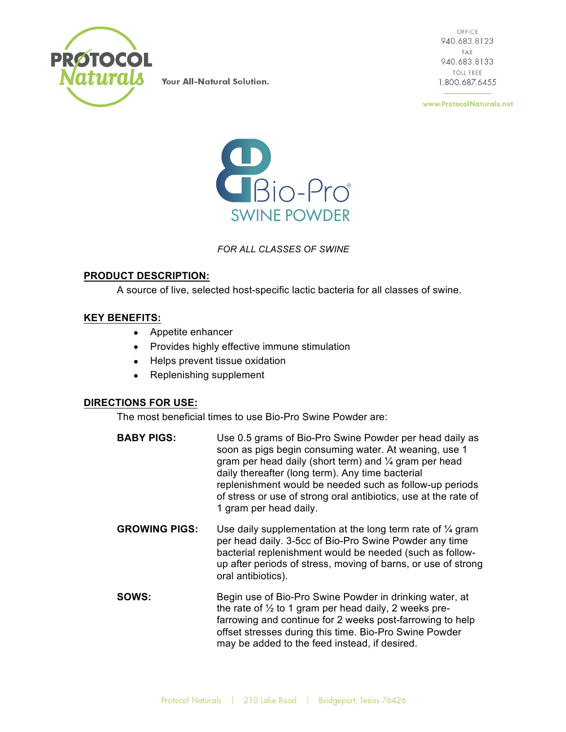

Your All-Natural Solution.

OFFICE 940.683.8123 FAX 940.683.8133 **TOLL FREE** 1.800.687.6455

www.ProtocolNaturals.net



## *FOR ALL CLASSES OF SWINE*

## **PRODUCT DESCRIPTION:**

A source of live, selected host-specific lactic bacteria for all classes of swine.

#### **KEY BENEFITS:**

- Appetite enhancer
- Provides highly effective immune stimulation
- Helps prevent tissue oxidation
- Replenishing supplement

#### **DIRECTIONS FOR USE:**

The most beneficial times to use Bio-Pro Swine Powder are:

- **BABY PIGS:** Use 0.5 grams of Bio-Pro Swine Powder per head daily as soon as pigs begin consuming water. At weaning, use 1 gram per head daily (short term) and  $\frac{1}{4}$  gram per head daily thereafter (long term). Any time bacterial replenishment would be needed such as follow-up periods of stress or use of strong oral antibiotics, use at the rate of 1 gram per head daily.
- **GROWING PIGS:** Use daily supplementation at the long term rate of ¼ gram per head daily. 3-5cc of Bio-Pro Swine Powder any time bacterial replenishment would be needed (such as followup after periods of stress, moving of barns, or use of strong oral antibiotics).
- **SOWS:** Begin use of Bio-Pro Swine Powder in drinking water, at the rate of  $\frac{1}{2}$  to 1 gram per head daily, 2 weeks prefarrowing and continue for 2 weeks post-farrowing to help offset stresses during this time. Bio-Pro Swine Powder may be added to the feed instead, if desired.